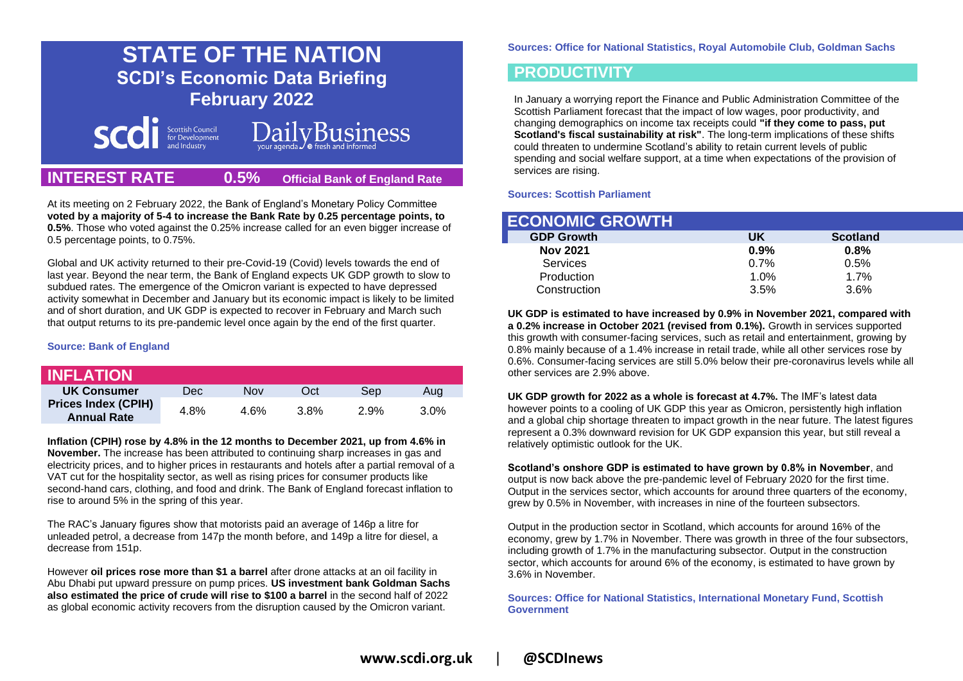# **STATE OF THE NATION SCDI's Economic Data Briefing February 2022**



# **DailyBusiness**

## **INTEREST RATE 0.5% Official Bank of England Rate**

At its meeting on 2 February 2022, the Bank of England's Monetary Policy Committee **voted by a majority of 5-4 to increase the Bank Rate by 0.25 percentage points, to 0.5%**. Those who voted against the 0.25% increase called for an even bigger increase of 0.5 percentage points, to 0.75%.

Global and UK activity returned to their pre-Covid-19 (Covid) levels towards the end of last year. Beyond the near term, the Bank of England expects UK GDP growth to slow to subdued rates. The emergence of the Omicron variant is expected to have depressed activity somewhat in December and January but its economic impact is likely to be limited and of short duration, and UK GDP is expected to recover in February and March such that output returns to its pre-pandemic level once again by the end of the first quarter.

## **Source: Bank of England**

| <b>INFLATION</b>                                 |      |      |      |      |         |
|--------------------------------------------------|------|------|------|------|---------|
| UK Consumer                                      | Dec. | Nov  | Oct  | Sep  | Aug     |
| <b>Prices Index (CPIH)</b><br><b>Annual Rate</b> | 4.8% | 4 6% | 3.8% | 2.9% | $3.0\%$ |

**Inflation (CPIH) rose by 4.8% in the 12 months to December 2021, up from 4.6% in November.** The increase has been attributed to continuing sharp increases in gas and electricity prices, and to higher prices in restaurants and hotels after a partial removal of a VAT cut for the hospitality sector, as well as rising prices for consumer products like second-hand cars, clothing, and food and drink. The Bank of England forecast inflation to rise to around 5% in the spring of this year.

The RAC's January figures show that motorists paid an average of 146p a litre for unleaded petrol, a decrease from 147p the month before, and 149p a litre for diesel, a decrease from 151p.

However **oil prices rose more than \$1 a barrel** after drone attacks at an oil facility in Abu Dhabi put upward pressure on pump prices. **US investment bank Goldman Sachs also estimated the price of crude will rise to \$100 a barrel** in the second half of 2022 as global economic activity recovers from the disruption caused by the Omicron variant.

**Sources: Office for National Statistics, Royal Automobile Club, Goldman Sachs**

## **PRODUCTIVITY**

In January a worrying report the Finance and Public Administration Committee of the Scottish Parliament forecast that the impact of low wages, poor productivity, and changing demographics on income tax receipts could **"if they come to pass, put Scotland's fiscal sustainability at risk"**. The long-term implications of these shifts could threaten to undermine Scotland's ability to retain current levels of public spending and social welfare support, at a time when expectations of the provision of services are rising.

## **Sources: Scottish Parliament**

| <b>ECONOMIC GROWTH</b> |         |                 |
|------------------------|---------|-----------------|
| <b>GDP Growth</b>      | UK      | <b>Scotland</b> |
| <b>Nov 2021</b>        | 0.9%    | 0.8%            |
| Services               | 0.7%    | 0.5%            |
| Production             | $1.0\%$ | 1.7%            |
| Construction           | 3.5%    | 3.6%            |

**UK GDP is estimated to have increased by 0.9% in November 2021, compared with a 0.2% increase in October 2021 (revised from 0.1%).** Growth in services supported this growth with consumer-facing services, such as retail and entertainment, growing by 0.8% mainly because of a 1.4% increase in retail trade, while all other services rose by 0.6%. Consumer-facing services are still 5.0% below their pre-coronavirus levels while all other services are 2.9% above.

**UK GDP growth for 2022 as a whole is forecast at 4.7%.** The IMF's latest data however points to a cooling of UK GDP this year as Omicron, persistently high inflation and a global chip shortage threaten to impact growth in the near future. The latest figures represent a 0.3% downward revision for UK GDP expansion this year, but still reveal a relatively optimistic outlook for the UK.

**Scotland's onshore GDP is estimated to have grown by 0.8% in November**, and output is now back above the pre-pandemic level of February 2020 for the first time. Output in the services sector, which accounts for around three quarters of the economy, grew by 0.5% in November, with increases in nine of the fourteen subsectors.

Output in the production sector in Scotland, which accounts for around 16% of the economy, grew by 1.7% in November. There was growth in three of the four subsectors, including growth of 1.7% in the manufacturing subsector. Output in the construction sector, which accounts for around 6% of the economy, is estimated to have grown by 3.6% in November.

**Sources: Office for National Statistics, International Monetary Fund, Scottish Government**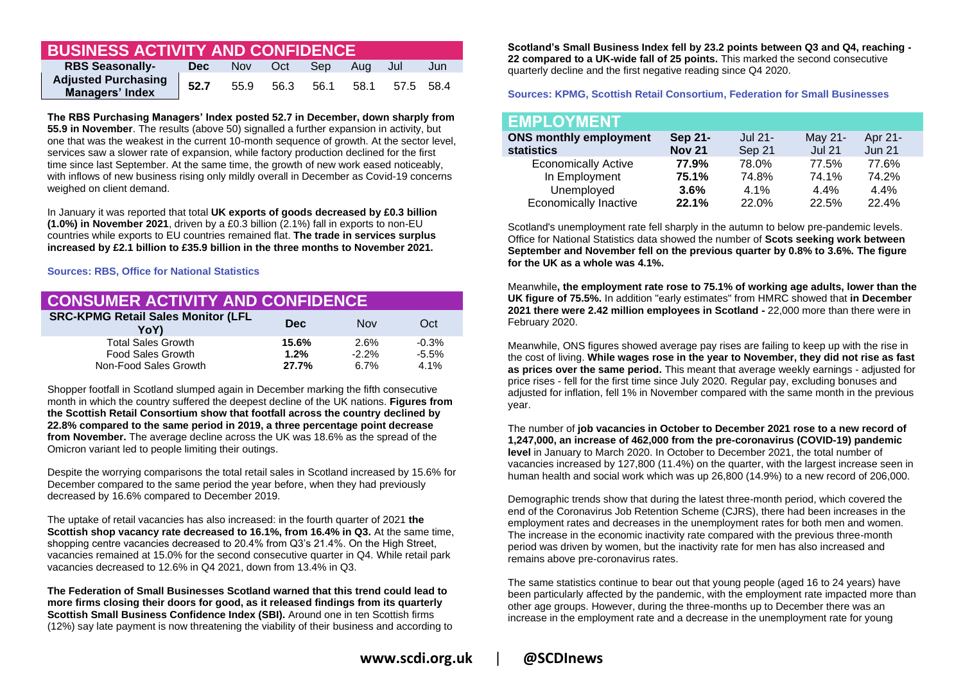## **BUSINESS ACTIVITY AND CONFIDENCE**

| <b>RBS Seasonally-</b>                               | Dec  |      | Nov Oct | Sep Aug Jul |                          | Jun |
|------------------------------------------------------|------|------|---------|-------------|--------------------------|-----|
| <b>Adjusted Purchasing</b><br><b>Managers' Index</b> | 52.7 | 55.9 |         |             | 56.3 56.1 58.1 57.5 58.4 |     |

**The RBS Purchasing Managers' Index posted 52.7 in December, down sharply from 55.9 in November**. The results (above 50) signalled a further expansion in activity, but one that was the weakest in the current 10-month sequence of growth. At the sector level, services saw a slower rate of expansion, while factory production declined for the first time since last September. At the same time, the growth of new work eased noticeably, with inflows of new business rising only mildly overall in December as Covid-19 concerns weighed on client demand.

In January it was reported that total **UK exports of goods decreased by £0.3 billion (1.0%) in November 2021**, driven by a £0.3 billion (2.1%) fall in exports to non-EU countries while exports to EU countries remained flat. **The trade in services surplus increased by £2.1 billion to £35.9 billion in the three months to November 2021.**

## **Sources: RBS, Office for National Statistics**

| <b>CONSUMER ACTIVITY AND CONFIDENCE</b>           |               |                 |                 |  |
|---------------------------------------------------|---------------|-----------------|-----------------|--|
| <b>SRC-KPMG Retail Sales Monitor (LFL</b><br>YoY) | <b>Dec</b>    | <b>Nov</b>      | Oct             |  |
| <b>Total Sales Growth</b>                         | 15.6%         | 2.6%            | $-0.3%$         |  |
| Food Sales Growth<br>Non-Food Sales Growth        | 1.2%<br>27.7% | $-2.2%$<br>6.7% | $-5.5%$<br>4.1% |  |

Shopper footfall in Scotland slumped again in December marking the fifth consecutive month in which the country suffered the deepest decline of the UK nations. **Figures from the Scottish Retail Consortium show that footfall across the country declined by 22.8% compared to the same period in 2019, a three percentage point decrease from November.** The average decline across the UK was 18.6% as the spread of the Omicron variant led to people limiting their outings.

Despite the worrying comparisons the total retail sales in Scotland increased by 15.6% for December compared to the same period the year before, when they had previously decreased by 16.6% compared to December 2019.

The uptake of retail vacancies has also increased: in the fourth quarter of 2021 **the Scottish shop vacancy rate decreased to 16.1%, from 16.4% in Q3.** At the same time, shopping centre vacancies decreased to 20.4% from Q3's 21.4%. On the High Street, vacancies remained at 15.0% for the second consecutive quarter in Q4. While retail park vacancies decreased to 12.6% in Q4 2021, down from 13.4% in Q3.

**The Federation of Small Businesses Scotland warned that this trend could lead to more firms closing their doors for good, as it released findings from its quarterly Scottish Small Business Confidence Index (SBI).** Around one in ten Scottish firms (12%) say late payment is now threatening the viability of their business and according to

**Scotland's Small Business Index fell by 23.2 points between Q3 and Q4, reaching - 22 compared to a UK-wide fall of 25 points.** This marked the second consecutive quarterly decline and the first negative reading since Q4 2020.

## **Sources: KPMG, Scottish Retail Consortium, Federation for Small Businesses**

| <b>EMPLOYMENT</b>             |               |         |               |               |
|-------------------------------|---------------|---------|---------------|---------------|
| <b>ONS monthly employment</b> | Sep 21-       | Jul 21- | May 21-       | Apr 21-       |
| <b>statistics</b>             | <b>Nov 21</b> | Sep 21  | <b>Jul 21</b> | <b>Jun 21</b> |
| <b>Economically Active</b>    | 77.9%         | 78.0%   | 77.5%         | 77.6%         |
| In Employment                 | 75.1%         | 74.8%   | 74.1%         | 74.2%         |
| Unemployed                    | $3.6\%$       | 4.1%    | 4.4%          | 4.4%          |
| <b>Economically Inactive</b>  | 22.1%         | 22.0%   | 22.5%         | 22.4%         |

Scotland's unemployment rate fell sharply in the autumn to below pre-pandemic levels. Office for National Statistics data showed the number of **Scots seeking work between September and November fell on the previous quarter by 0.8% to 3.6%. The figure for the UK as a whole was 4.1%.**

Meanwhile**, the employment rate rose to 75.1% of working age adults, lower than the UK figure of 75.5%.** In addition "early estimates" from HMRC showed that **in December 2021 there were 2.42 million employees in Scotland -** 22,000 more than there were in February 2020.

Meanwhile, ONS figures showed average pay rises are failing to keep up with the rise in the cost of living. **While wages rose in the year to November, they did not rise as fast as prices over the same period.** This meant that average weekly earnings - adjusted for price rises - fell for the first time since July 2020. Regular pay, excluding bonuses and adjusted for inflation, fell 1% in November compared with the same month in the previous year.

The number of **job vacancies in October to December 2021 rose to a new record of 1,247,000, an increase of 462,000 from the pre-coronavirus (COVID-19) pandemic level** in January to March 2020. In October to December 2021, the total number of vacancies increased by 127,800 (11.4%) on the quarter, with the largest increase seen in human health and social work which was up 26,800 (14.9%) to a new record of 206,000.

Demographic trends show that during the latest three-month period, which covered the end of the Coronavirus Job Retention Scheme (CJRS), there had been increases in the employment rates and decreases in the unemployment rates for both men and women. The increase in the economic inactivity rate compared with the previous three-month period was driven by women, but the inactivity rate for men has also increased and remains above pre-coronavirus rates.

The same statistics continue to bear out that young people (aged 16 to 24 years) have been particularly affected by the pandemic, with the employment rate impacted more than other age groups. However, during the three-months up to December there was an increase in the employment rate and a decrease in the unemployment rate for young

**www.scdi.org.uk** | **@SCDInews**